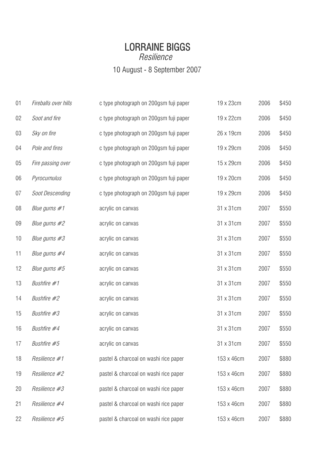## LORRAINE BIGGS Resilience 10 August - 8 September 2007

| 01 | Fireballs over hills   | c type photograph on 200gsm fuji paper | 19 x 23cm  | 2006 | \$450 |
|----|------------------------|----------------------------------------|------------|------|-------|
| 02 | Soot and fire          | c type photograph on 200gsm fuji paper | 19 x 22cm  | 2006 | \$450 |
| 03 | Sky on fire            | c type photograph on 200gsm fuji paper | 26 x 19cm  | 2006 | \$450 |
| 04 | Pole and fires         | c type photograph on 200gsm fuji paper | 19 x 29cm  | 2006 | \$450 |
| 05 | Fire passing over      | c type photograph on 200gsm fuji paper | 15 x 29cm  | 2006 | \$450 |
| 06 | Pyrocumulus            | c type photograph on 200gsm fuji paper | 19 x 20cm  | 2006 | \$450 |
| 07 | <b>Soot Descending</b> | c type photograph on 200gsm fuji paper | 19 x 29cm  | 2006 | \$450 |
| 08 | Blue gums $#1$         | acrylic on canvas                      | 31 x 31 cm | 2007 | \$550 |
| 09 | Blue gums #2           | acrylic on canvas                      | 31 x 31 cm | 2007 | \$550 |
| 10 | Blue gums #3           | acrylic on canvas                      | 31 x 31 cm | 2007 | \$550 |
| 11 | Blue gums #4           | acrylic on canvas                      | 31 x 31 cm | 2007 | \$550 |
| 12 | Blue gums #5           | acrylic on canvas                      | 31 x 31 cm | 2007 | \$550 |
| 13 | Bushfire #1            | acrylic on canvas                      | 31 x 31 cm | 2007 | \$550 |
| 14 | Bushfire #2            | acrylic on canvas                      | 31 x 31 cm | 2007 | \$550 |
| 15 | Bushfire #3            | acrylic on canvas                      | 31 x 31 cm | 2007 | \$550 |
| 16 | Bushfire #4            | acrylic on canvas                      | 31 x 31 cm | 2007 | \$550 |
| 17 | Bushfire #5            | acrylic on canvas                      | 31 x 31 cm | 2007 | \$550 |
| 18 | Resilience #1          | pastel & charcoal on washi rice paper  | 153 x 46cm | 2007 | \$880 |
| 19 | Resilience #2          | pastel & charcoal on washi rice paper  | 153 x 46cm | 2007 | \$880 |
| 20 | Resilience #3          | pastel & charcoal on washi rice paper  | 153 x 46cm | 2007 | \$880 |
| 21 | Resilience #4          | pastel & charcoal on washi rice paper  | 153 x 46cm | 2007 | \$880 |
| 22 | Resilience #5          | pastel & charcoal on washi rice paper  | 153 x 46cm | 2007 | \$880 |